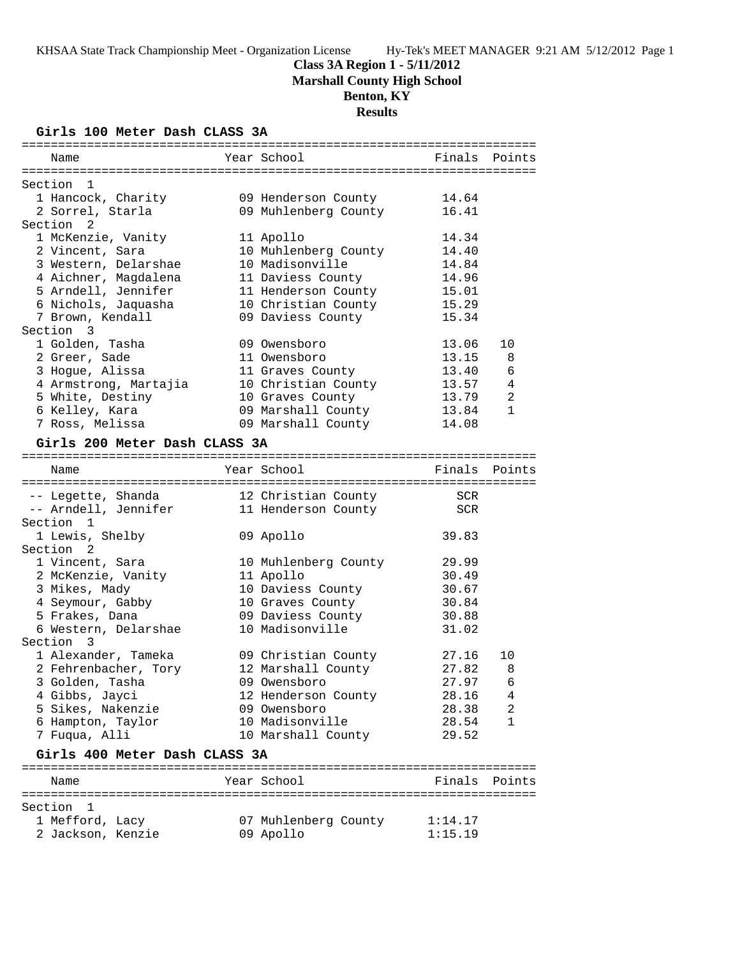## **Class 3A Region 1 - 5/11/2012 Marshall County High School**

# **Benton, KY**

# **Results**

## **Girls 100 Meter Dash CLASS 3A**

| Name                                 | Year School                       | Finals Points      |              |
|--------------------------------------|-----------------------------------|--------------------|--------------|
|                                      |                                   |                    |              |
| Section 1                            |                                   |                    |              |
| 1 Hancock, Charity                   | 09 Henderson County               | 14.64              |              |
| 2 Sorrel, Starla                     | 09 Muhlenberg County              | 16.41              |              |
| Section <sub>2</sub>                 |                                   |                    |              |
| 1 McKenzie, Vanity                   | 11 Apollo                         | 14.34              |              |
| 2 Vincent, Sara                      | 10 Muhlenberg County              | 14.40              |              |
| 3 Western, Delarshae                 | 10 Madisonville                   | 14.84              |              |
| 4 Aichner, Magdalena                 | 11 Daviess County                 | 14.96              |              |
| 5 Arndell, Jennifer                  | 11 Henderson County               | 15.01              |              |
| 6 Nichols, Jaquasha                  | 10 Christian County               | 15.29              |              |
| 7 Brown, Kendall                     | 09 Daviess County                 | 15.34              |              |
| Section 3                            |                                   |                    |              |
| 1 Golden, Tasha                      | 09 Owensboro                      | 13.06              | 10           |
| 2 Greer, Sade                        | 11 Owensboro                      | 13.15              | 8            |
| 3 Hogue, Alissa                      | 11 Graves County                  | 13.40              | 6            |
| 4 Armstrong, Martajia                | 10 Christian County               | 13.57              | 4            |
| 5 White, Destiny                     | 10 Graves County                  | 13.79              | 2            |
|                                      |                                   | 13.84              | $\mathbf{1}$ |
| 6 Kelley, Kara                       | 09 Marshall County                | 14.08              |              |
| 7 Ross, Melissa                      | 09 Marshall County                |                    |              |
| Girls 200 Meter Dash CLASS 3A        |                                   |                    |              |
| Name                                 | Year School                       | Finals Points      |              |
|                                      |                                   |                    |              |
| -- Legette, Shanda                   | 12 Christian County               | SCR                |              |
| -- Arndell, Jennifer                 | 11 Henderson County               | SCR                |              |
| Section <sub>1</sub>                 |                                   |                    |              |
| 1 Lewis, Shelby                      | 09 Apollo                         | 39.83              |              |
| Section <sub>2</sub>                 |                                   |                    |              |
| 1 Vincent, Sara                      | 10 Muhlenberg County              | 29.99              |              |
| 2 McKenzie, Vanity                   | 11 Apollo                         | 30.49              |              |
| 3 Mikes, Mady                        | 10 Daviess County                 | 30.67              |              |
| 4 Seymour, Gabby                     | 10 Graves County                  | 30.84              |              |
| 5 Frakes, Dana                       | 09 Daviess County                 | 30.88              |              |
| 6 Western, Delarshae                 | 10 Madisonville                   | 31.02              |              |
| Section 3                            |                                   |                    |              |
| 1 Alexander, Tameka                  | 09 Christian County               | 27.16              | 10           |
| 2 Fehrenbacher, Tory                 | 12 Marshall County                | 27.82              | 8            |
| 3 Golden, Tasha                      | 09 Owensboro                      | 27.97 6            |              |
| 4 Gibbs, Jayci                       | 12 Henderson County               | 28.16              | 4            |
| 5 Sikes, Nakenzie                    | 09 Owensboro                      | 28.38              | 2            |
| 6 Hampton, Taylor                    |                                   |                    |              |
| 7 Fuqua, Alli                        | 10 Madisonville                   |                    | 1            |
|                                      |                                   | 28.54<br>29.52     |              |
| Girls 400 Meter Dash CLASS 3A        | 10 Marshall County                |                    |              |
|                                      |                                   |                    |              |
| Name                                 | Year School                       | Finals             | Points       |
|                                      |                                   |                    |              |
| Section 1                            |                                   |                    |              |
| 1 Mefford, Lacy<br>2 Jackson, Kenzie | 07 Muhlenberg County<br>09 Apollo | 1:14.17<br>1:15.19 |              |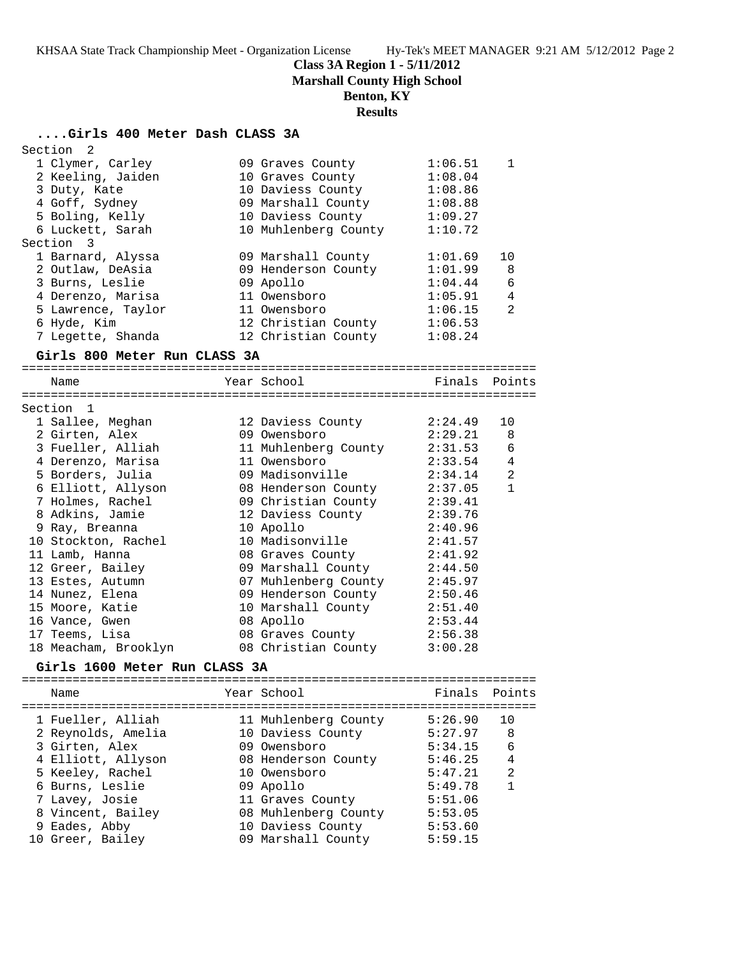**Class 3A Region 1 - 5/11/2012**

**Marshall County High School**

**Benton, KY**

## **Results**

## **....Girls 400 Meter Dash CLASS 3A**

| Section<br>$\overline{\phantom{0}}^2$ |                      |                 |               |
|---------------------------------------|----------------------|-----------------|---------------|
| 1 Clymer, Carley                      | 09 Graves County     | 1:06.51         | 1             |
| 2 Keeling, Jaiden                     | 10 Graves County     | 1:08.04         |               |
| 3 Duty, Kate                          | 10 Daviess County    | 1:08.86         |               |
| 4 Goff, Sydney                        | 09 Marshall County   | 1:08.88         |               |
| 5 Boling, Kelly                       | 10 Daviess County    | 1:09.27         |               |
| 6 Luckett, Sarah                      | 10 Muhlenberg County | 1:10.72         |               |
| Section 3                             |                      |                 |               |
| 1 Barnard, Alyssa                     | 09 Marshall County   | 1:01.69         | 10            |
| 2 Outlaw, DeAsia                      | 09 Henderson County  | 1:01.99         | 8             |
| 3 Burns, Leslie                       | 09 Apollo            | 1:04.44         | 6             |
| 4 Derenzo, Marisa                     | 11 Owensboro         | 1:05.91         | 4             |
| 5 Lawrence, Taylor                    | 11 Owensboro         | 1:06.15         | 2             |
| 6 Hyde, Kim                           | 12 Christian County  | 1:06.53         |               |
| 7 Legette, Shanda                     | 12 Christian County  | 1:08.24         |               |
|                                       |                      |                 |               |
| Girls 800 Meter Run CLASS 3A          |                      |                 |               |
| Name                                  | Year School          |                 | Finals Points |
|                                       |                      |                 |               |
| Section 1                             |                      |                 |               |
| 1 Sallee, Meghan                      | 12 Daviess County    | 2:24.49         | 10            |
| 2 Girten, Alex                        | 09 Owensboro         | 2:29.21         | 8             |
| 3 Fueller, Alliah                     | 11 Muhlenberg County | 2:31.53         | 6             |
| 4 Derenzo, Marisa                     | 11 Owensboro         | 2:33.54         | 4             |
| 5 Borders, Julia                      | 09 Madisonville      | 2:34.14         | 2             |
| 6 Elliott, Allyson                    | 08 Henderson County  | 2:37.05         | $\mathbf{1}$  |
| 7 Holmes, Rachel                      | 09 Christian County  | 2:39.41         |               |
| 8 Adkins, Jamie                       | 12 Daviess County    | 2:39.76         |               |
| 9 Ray, Breanna                        | 10 Apollo            | 2:40.96         |               |
| 10 Stockton, Rachel                   | 10 Madisonville      | 2:41.57         |               |
| 11 Lamb, Hanna                        | 08 Graves County     | 2:41.92         |               |
| 12 Greer, Bailey                      | 09 Marshall County   | 2:44.50         |               |
| 13 Estes, Autumn                      | 07 Muhlenberg County | 2:45.97         |               |
| 14 Nunez, Elena                       | 09 Henderson County  | 2:50.46         |               |
| 15 Moore, Katie                       | 10 Marshall County   | 2:51.40         |               |
| 16 Vance, Gwen                        | 08 Apollo            | 2:53.44         |               |
| 17 Teems, Lisa                        | 08 Graves County     | 2:56.38         |               |
| 18 Meacham, Brooklyn                  | 08 Christian County  | 3:00.28         |               |
| Girls 1600 Meter Run CLASS 3A         |                      |                 |               |
|                                       |                      |                 |               |
| Name                                  | Year School          | Finals          | Points        |
| ============<br>:================     |                      | =============== |               |
| 1 Fueller, Alliah                     | 11 Muhlenberg County | 5:26.90         | 10            |
| 2 Reynolds, Amelia                    | 10 Daviess County    | 5:27.97         | 8             |
| 3 Girten, Alex                        | 09 Owensboro         | 5:34.15         | 6             |
| 4 Elliott, Allyson                    | 08 Henderson County  | 5:46.25         | 4             |
| 5 Keeley, Rachel                      | 10 Owensboro         | 5:47.21         | 2             |
| 6 Burns, Leslie                       | 09 Apollo            | 5:49.78         | $\mathbf{1}$  |
| 7 Lavey, Josie                        | 11 Graves County     | 5:51.06         |               |
| 8 Vincent, Bailey                     | 08 Muhlenberg County | 5:53.05         |               |
| 9 Eades, Abby                         | 10 Daviess County    | 5:53.60         |               |

10 Greer, Bailey 09 Marshall County 5:59.15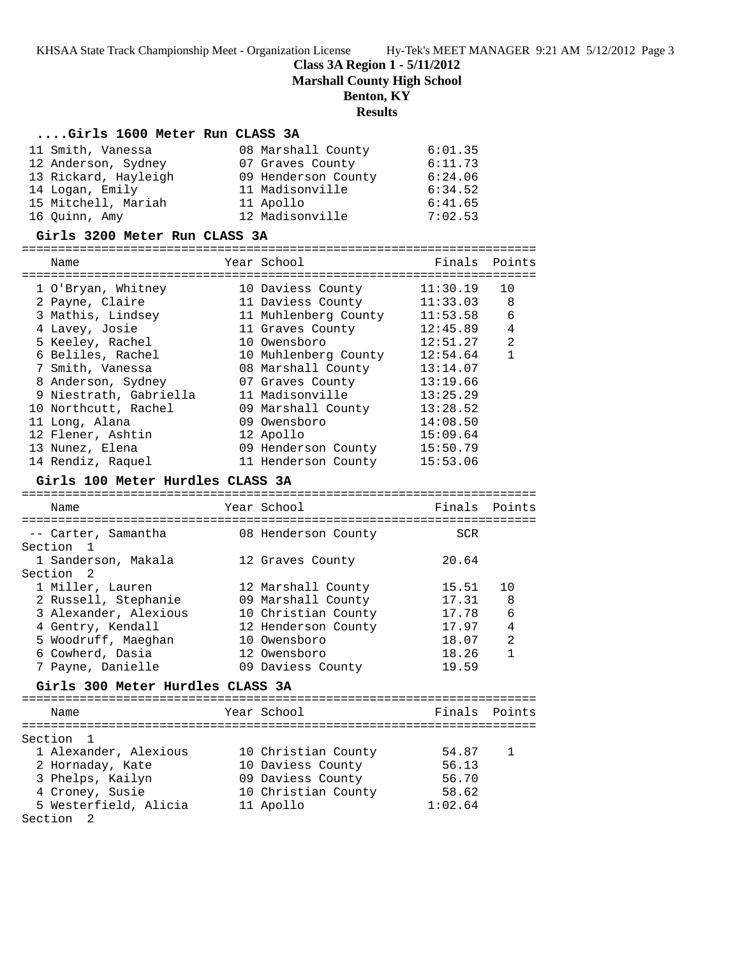**Class 3A Region 1 - 5/11/2012**

**Marshall County High School**

#### **Benton, KY**

#### **Results**

#### **....Girls 1600 Meter Run CLASS 3A**

| 11 Smith, Vanessa    | 08 Marshall County  | 6:01.35 |
|----------------------|---------------------|---------|
| 12 Anderson, Sydney  | 07 Graves County    | 6:11.73 |
| 13 Rickard, Hayleigh | 09 Henderson County | 6:24.06 |
| 14 Logan, Emily      | 11 Madisonville     | 6:34.52 |
| 15 Mitchell, Mariah  | 11 Apollo           | 6:41.65 |
| 16 Quinn, Amy        | 12 Madisonville     | 7:02.53 |

#### **Girls 3200 Meter Run CLASS 3A**

======================================================================= Name Year School Finals Points ======================================================================= 1 O'Bryan, Whitney 10 Daviess County 11:30.19 10 2 Payne, Claire 11 Daviess County 11:33.03 8 3 Mathis, Lindsey 11 Muhlenberg County 11:53.58 6 4 Lavey, Josie 11 Graves County 12:45.89 4 5 Keeley, Rachel 10 Owensboro 12:51.27 2 6 Beliles, Rachel 10 Muhlenberg County 12:54.64 1 7 Smith, Vanessa 08 Marshall County 13:14.07 8 Anderson, Sydney 07 Graves County 13:19.66 9 Niestrath, Gabriella 11 Madisonville 13:25.29 10 Northcutt, Rachel 09 Marshall County 13:28.52 11 Long, Alana 09 Owensboro 14:08.50 12 Flener, Ashtin 12 Apollo 15:09.64 13 Nunez, Elena 09 Henderson County 15:50.79 14 Rendiz, Raquel 11 Henderson County 15:53.06

#### **Girls 100 Meter Hurdles CLASS 3A**

======================================================================= Name Year School Finals Points ======================================================================= -- Carter, Samantha 608 Henderson County 60R Section 1<br>1 Sanderson, Makala<br>Section 2 1 Sanderson, Makala 12 Graves County 20.64 Section 2 1 Miller, Lauren 12 Marshall County 15.51 10 2 Russell, Stephanie 09 Marshall County 17.31 8 3 Alexander, Alexious 10 Christian County 17.78 6 4 Gentry, Kendall 12 Henderson County 17.97 4 5 Woodruff, Maeghan 10 Owensboro 18.07 2 6 Cowherd, Dasia 12 Owensboro 18.26 1 7 Payne, Danielle 09 Daviess County 19.59

### **Girls 300 Meter Hurdles CLASS 3A**

======================================================================= Name Year School ======================================================================= Section 1 1 Alexander, Alexious 10 Christian County 54.87 1 2 Hornaday, Kate 10 Daviess County 56.13 3 Phelps, Kailyn 09 Daviess County 56.70 4 Croney, Susie 10 Christian County 58.62 5 Westerfield, Alicia 11 Apollo 1:02.64 Section 2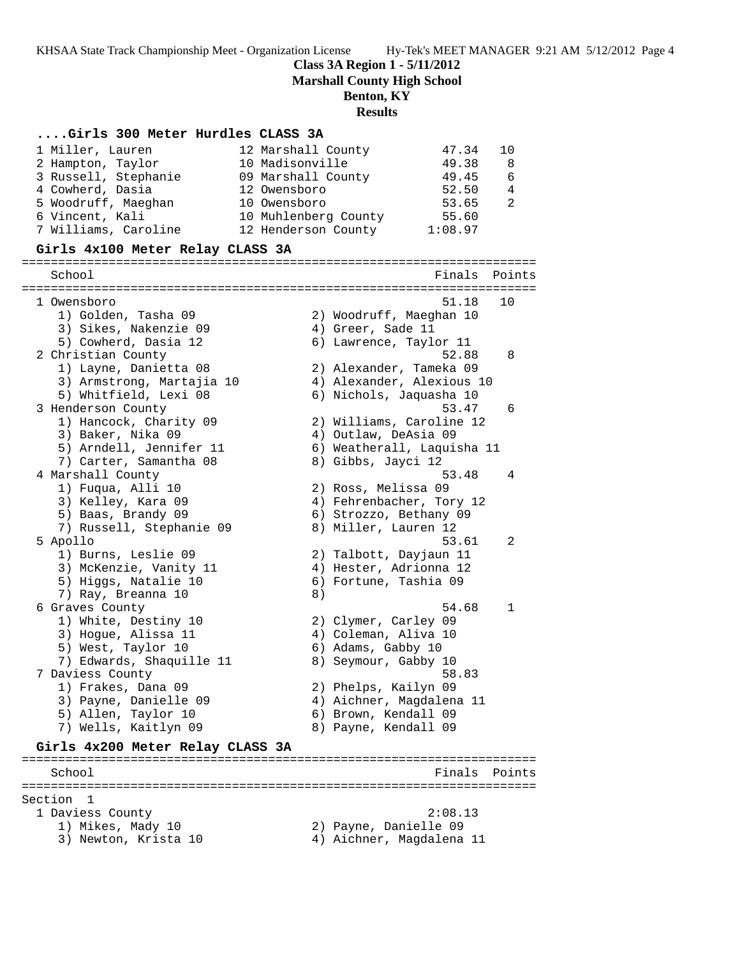**Class 3A Region 1 - 5/11/2012**

**Marshall County High School**

## **Benton, KY**

#### **Results**

#### **....Girls 300 Meter Hurdles CLASS 3A**

| 1 Miller, Lauren                                                                                                                                                                                                                                                                                                                                                                                                       | 12 Marshall County   | 47.34   | 10             |
|------------------------------------------------------------------------------------------------------------------------------------------------------------------------------------------------------------------------------------------------------------------------------------------------------------------------------------------------------------------------------------------------------------------------|----------------------|---------|----------------|
| 2 Hampton, Taylor                                                                                                                                                                                                                                                                                                                                                                                                      | 10 Madisonville      | 49.38   | - 8            |
| 3 Russell, Stephanie                                                                                                                                                                                                                                                                                                                                                                                                   | 09 Marshall County   | 49.45   | 6              |
| 4 Cowherd, Dasia                                                                                                                                                                                                                                                                                                                                                                                                       | 12 Owensboro         | 52.50   | $\overline{4}$ |
| 5 Woodruff, Maeghan                                                                                                                                                                                                                                                                                                                                                                                                    | 10 Owensboro         | 53.65   | -2             |
| 6 Vincent, Kali                                                                                                                                                                                                                                                                                                                                                                                                        | 10 Muhlenberg County | 55.60   |                |
| 7 Williams, Caroline                                                                                                                                                                                                                                                                                                                                                                                                   | 12 Henderson County  | 1:08.97 |                |
| $\sigma$ , $\sigma$ , $\sigma$ , $\sigma$ , $\sigma$ , $\sigma$ , $\sigma$ , $\sigma$ , $\sigma$ , $\sigma$ , $\sigma$ , $\sigma$ , $\sigma$ , $\sigma$ , $\sigma$ , $\sigma$ , $\sigma$ , $\sigma$ , $\sigma$ , $\sigma$ , $\sigma$ , $\sigma$ , $\sigma$ , $\sigma$ , $\sigma$ , $\sigma$ , $\sigma$ , $\sigma$ , $\sigma$ , $\sigma$ , $\sigma$ , $\sigma$ , $\sigma$ , $\sigma$ , $\sigma$ , $\sigma$ , $\sigma$ , |                      |         |                |

#### **Girls 4x100 Meter Relay CLASS 3A**

======================================================================= Finals Points ======================================================================= 1 Owensboro 51.18 10 1) Golden, Tasha 09 2) Woodruff, Maeghan 10 3) Sikes, Nakenzie 09  $\hskip1cm 4)$  Greer, Sade 11 5) Cowherd, Dasia 12 6) Lawrence, Taylor 11 2 Christian County 52.88 8 1) Layne, Danietta 08 2) Alexander, Tameka 09 3) Armstrong, Martajia 10 4) Alexander, Alexious 10 5) Whitfield, Lexi 08 6) Nichols, Jaquasha 10 3 Henderson County 53.47 6 1) Hancock, Charity 09 2) Williams, Caroline 12 3) Baker, Nika 09 4) Outlaw, DeAsia 09 5) Arndell, Jennifer 11 6) Weatherall, Laquisha 11 7) Carter, Samantha 08 8) Gibbs, Jayci 12 4 Marshall County 53.48 4 1) Fuqua, Alli 10 2) Ross, Melissa 09 3) Kelley, Kara 09 4) Fehrenbacher, Tory 12 5) Baas, Brandy 09 6) Strozzo, Bethany 09 7) Russell, Stephanie 09 8) Miller, Lauren 12 5 Apollo 53.61 2 1) Burns, Leslie 09 2) Talbott, Dayjaun 11 3) McKenzie, Vanity 11 4) Hester, Adrionna 12 5) Higgs, Natalie 10 6) Fortune, Tashia 09 7) Ray, Breanna 10 (8) 6 Graves County 54.68 1 1) White, Destiny 10 2) Clymer, Carley 09 3) Hogue, Alissa 11 (4) 4) Coleman, Aliva 10 5) West, Taylor 10 (6) Adams, Gabby 10 7) Edwards, Shaquille 11 8) Seymour, Gabby 10 7 Daviess County 58.83 1) Frakes, Dana 09 2) Phelps, Kailyn 09 3) Payne, Danielle 09 4) Aichner, Magdalena 11 5) Allen, Taylor 10 (6) Brown, Kendall 09 7) Wells, Kaitlyn 09 8) Payne, Kendall 09 **Girls 4x200 Meter Relay CLASS 3A** ======================================================================= School **Finals** Points ======================================================================= Section 1 1 Daviess County 2:08.13

- 1) Mikes, Mady 10 2) Payne, Danielle 09
- 3) Newton, Krista 10 4) Aichner, Magdalena 11
-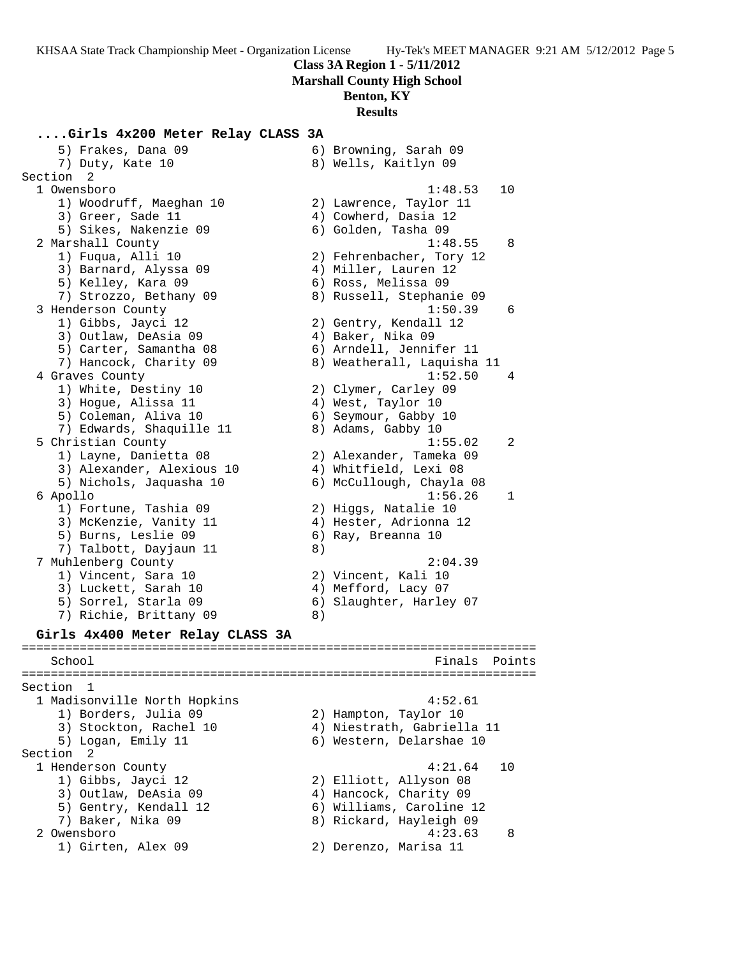## **Class 3A Region 1 - 5/11/2012 Marshall County High School Benton, KY**

# **Results**

**....Girls 4x200 Meter Relay CLASS 3A** 5) Frakes, Dana 09 6) Browning, Sarah 09 7) Duty, Kate 10 8) Wells, Kaitlyn 09 Section 2 1 Owensboro 1:48.53 10 1) Woodruff, Maeghan 10 2) Lawrence, Taylor 11 3) Greer, Sade 11 4) Cowherd, Dasia 12 5) Sikes, Nakenzie 09 6) Golden, Tasha 09 2 Marshall County 1:48.55 8 1) Fuqua, Alli 10 2) Fehrenbacher, Tory 12 3) Barnard, Alyssa 09 4) Miller, Lauren 12 5) Kelley, Kara 09 6) Ross, Melissa 09 7) Strozzo, Bethany 09 8) Russell, Stephanie 09 3 Henderson County 1:50.39 6 1) Gibbs, Jayci 12 2) Gentry, Kendall 12 3) Outlaw, DeAsia 09 (4) Baker, Nika 09 5) Carter, Samantha 08 6) Arndell, Jennifer 11 7) Hancock, Charity 09 8) Weatherall, Laquisha 11 4 Graves County 1:52.50 4 1) White, Destiny 10 2) Clymer, Carley 09 3) Hogue, Alissa 11 (4) West, Taylor 10 5) Coleman, Aliva 10 (6) Seymour, Gabby 10 7) Edwards, Shaquille 11  $\qquad \qquad 8)$  Adams, Gabby 10 5 Christian County 1:55.02 2 1) Layne, Danietta 08 2) Alexander, Tameka 09 3) Alexander, Alexious 10 4) Whitfield, Lexi 08 5) Nichols, Jaquasha 10 6) McCullough, Chayla 08 6 Apollo 1:56.26 1 1) Fortune, Tashia 09 2) Higgs, Natalie 10 3) McKenzie, Vanity 11 4) Hester, Adrionna 12 5) Burns, Leslie 09 (6) Ray, Breanna 10 7) Talbott, Dayjaun 11 8) 7 Muhlenberg County 2:04.39 1) Vincent, Sara 10 2) Vincent, Kali 10 3) Luckett, Sarah 10 4) Mefford, Lacy 07 5) Sorrel, Starla 09 6) Slaughter, Harley 07 7) Richie, Brittany 09 8) **Girls 4x400 Meter Relay CLASS 3A** ======================================================================= School **Finals Points** ======================================================================= Section 1 1 Madisonville North Hopkins 4:52.61 1) Borders, Julia 09 2) Hampton, Taylor 10 3) Stockton, Rachel 10 4) Niestrath, Gabriella 11 5) Logan, Emily 11 6) Western, Delarshae 10 Section 2 1 Henderson County 4:21.64 10 1) Gibbs, Jayci 12 2) Elliott, Allyson 08 3) Outlaw, DeAsia 09 4) Hancock, Charity 09 5) Gentry, Kendall 12 6) Williams, Caroline 12 7) Baker, Nika 09 8) Rickard, Hayleigh 09 2 Owensboro 4:23.63 8 1) Girten, Alex 09 2) Derenzo, Marisa 11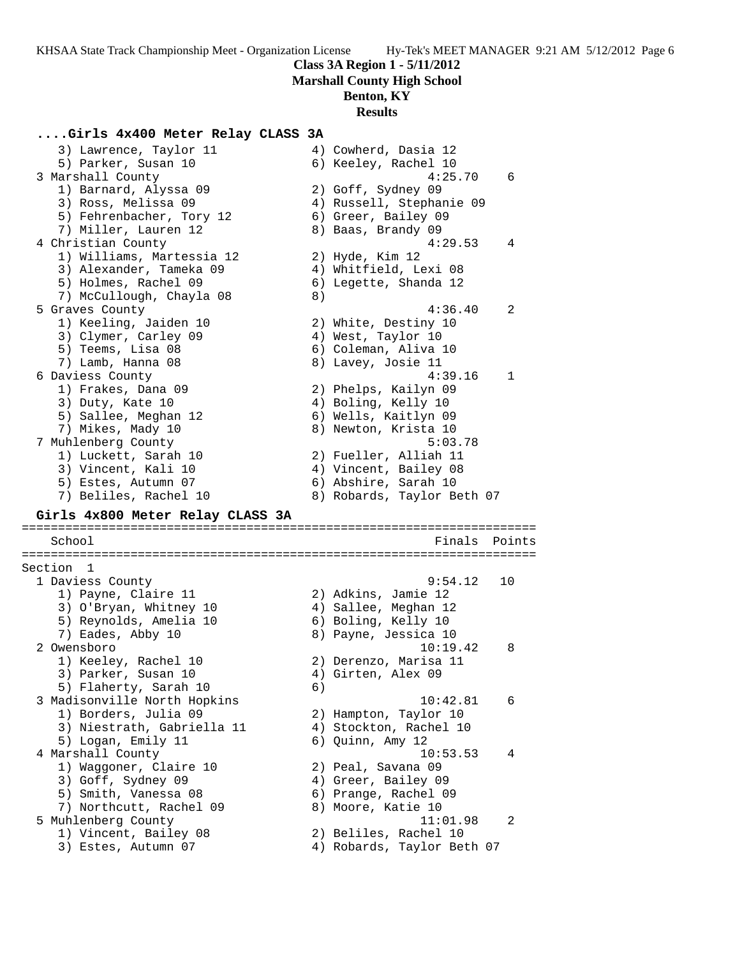## **Class 3A Region 1 - 5/11/2012 Marshall County High School**

**Benton, KY**

# **Results**

## **....Girls 4x400 Meter Relay CLASS 3A**

3) Lawrence, Taylor 11  $\qquad \qquad \qquad$  4) Cowherd, Dasia 12 5) Parker, Susan 10 6) Keeley, Rachel 10 3 Marshall County 4:25.70 6 1) Barnard, Alyssa 09 2) Goff, Sydney 09 3) Ross, Melissa 09 4) Russell, Stephanie 09 5) Fehrenbacher, Tory 12 (6) Greer, Bailey 09 7) Miller, Lauren 12 and 8) Baas, Brandy 09 4 Christian County 4:29.53 4 1) Williams, Martessia 12 2) Hyde, Kim 12 3) Alexander, Tameka 09 4) Whitfield, Lexi 08 5) Holmes, Rachel 09 6) Legette, Shanda 12 7) McCullough, Chayla 08 8) 5 Graves County 4:36.40 2 1) Keeling, Jaiden 10 2) White, Destiny 10 3) Clymer, Carley 09 (4) West, Taylor 10 5) Teems, Lisa 08 6) Coleman, Aliva 10 7) Lamb, Hanna 08 8 8) Lavey, Josie 11 6 Daviess County 4:39.16 1 1) Frakes, Dana 09 2) Phelps, Kailyn 09 3) Duty, Kate 10 4) Boling, Kelly 10 5) Sallee, Meghan 12 6) Wells, Kaitlyn 09 7) Mikes, Mady 10 8) Newton, Krista 10 7 Muhlenberg County 5:03.78 1) Luckett, Sarah 10 2) Fueller, Alliah 11 3) Vincent, Kali 10 4) Vincent, Bailey 08 5) Estes, Autumn 07 (6) Abshire, Sarah 10 7) Beliles, Rachel 10 8) Robards, Taylor Beth 07 **Girls 4x800 Meter Relay CLASS 3A** ======================================================================= School **Finals Points** ======================================================================= Section 1 1 Daviess County 9:54.12 10 1) Payne, Claire 11 2) Adkins, Jamie 12 3) O'Bryan, Whitney 10 4) Sallee, Meghan 12 5) Reynolds, Amelia 10 (6) Boling, Kelly 10 7) Eades, Abby 10 8) Payne, Jessica 10 2 Owensboro 10:19.42 8 1) Keeley, Rachel 10 2) Derenzo, Marisa 11 3) Parker, Susan 10 (4) Girten, Alex 09 5) Flaherty, Sarah 10 6) 3 Madisonville North Hopkins 10:42.81 6 1) Borders, Julia 09 2) Hampton, Taylor 10 3) Niestrath, Gabriella 11 4) Stockton, Rachel 10 5) Logan, Emily 11 (6) Quinn, Amy 12 4 Marshall County 10:53.53 4 1) Waggoner, Claire 10 2) Peal, Savana 09 3) Goff, Sydney 09 (4) Greer, Bailey 09 5) Smith, Vanessa 08 6) Prange, Rachel 09 7) Northcutt, Rachel 09 8) Moore, Katie 10 5 Muhlenberg County 11:01.98 2 1) Vincent, Bailey 08 2) Beliles, Rachel 10 3) Estes, Autumn 07 4) Robards, Taylor Beth 07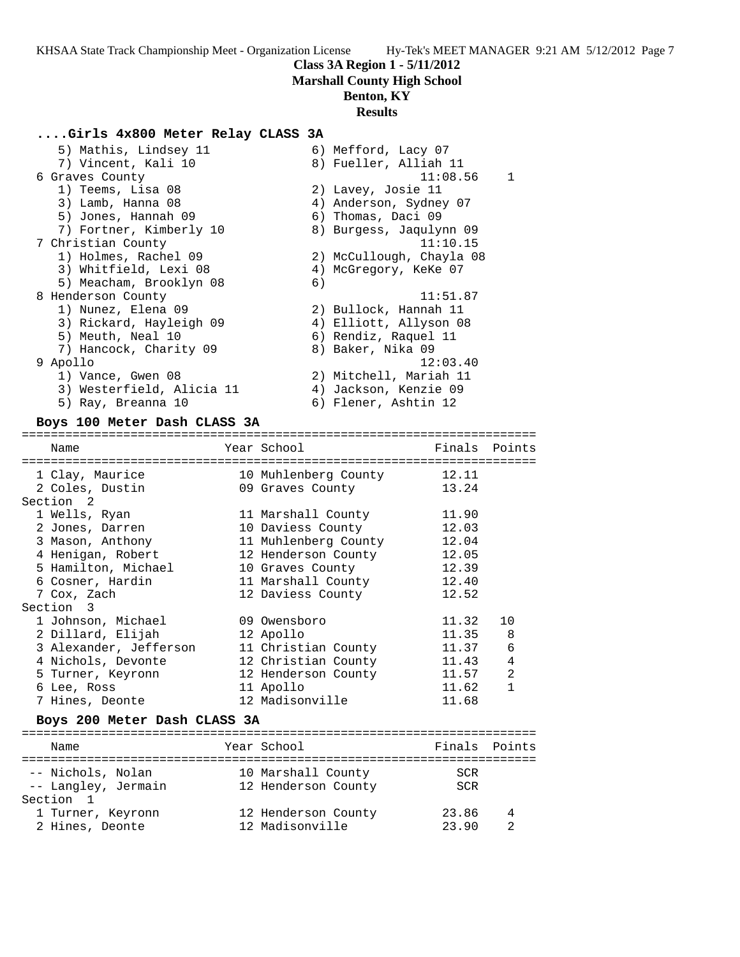## **Class 3A Region 1 - 5/11/2012 Marshall County High School**

# **Benton, KY**

# **Results**

## **....Girls 4x800 Meter Relay CLASS 3A**

| 5) Mathis, Lindsey 11     |    | 6) Mefford, Lacy 07      |   |
|---------------------------|----|--------------------------|---|
| 7) Vincent, Kali 10       |    | 8) Fueller, Alliah 11    |   |
| 6 Graves County           |    | 11:08.56                 | 1 |
| 1) Teems, Lisa 08         |    | 2) Lavey, Josie 11       |   |
| 3) Lamb, Hanna 08         |    | 4) Anderson, Sydney 07   |   |
| 5) Jones, Hannah 09       |    | 6) Thomas, Daci 09       |   |
| 7) Fortner, Kimberly 10   |    | 8) Burgess, Jaqulynn 09  |   |
| 7 Christian County        |    | 11:10.15                 |   |
| 1) Holmes, Rachel 09      |    | 2) McCullough, Chayla 08 |   |
| 3) Whitfield, Lexi 08     |    | 4) McGregory, KeKe 07    |   |
| 5) Meacham, Brooklyn 08   | 6) |                          |   |
| 8 Henderson County        |    | 11:51.87                 |   |
| 1) Nunez, Elena 09        |    | 2) Bullock, Hannah 11    |   |
| 3) Rickard, Hayleigh 09   |    | 4) Elliott, Allyson 08   |   |
| 5) Meuth, Neal 10         |    | 6) Rendiz, Raquel 11     |   |
| 7) Hancock, Charity 09    |    | 8) Baker, Nika 09        |   |
| 9 Apollo                  |    | 12:03.40                 |   |
| 1) Vance, Gwen 08         |    | 2) Mitchell, Mariah 11   |   |
| 3) Westerfield, Alicia 11 |    | 4) Jackson, Kenzie 09    |   |
| 5) Ray, Breanna 10        |    | 6) Flener, Ashtin 12     |   |
|                           |    |                          |   |

## **Boys 100 Meter Dash CLASS 3A**

# =======================================================================

| Name                   | Year School          | Finals Points |                |
|------------------------|----------------------|---------------|----------------|
| 1 Clay, Maurice        | 10 Muhlenberg County | 12.11         |                |
| 2 Coles, Dustin        | 09 Graves County     | 13.24         |                |
| Section 2              |                      |               |                |
| 1 Wells, Ryan          | 11 Marshall County   | 11.90         |                |
| 2 Jones, Darren        | 10 Daviess County    | 12.03         |                |
| 3 Mason, Anthony       | 11 Muhlenberg County | 12.04         |                |
| 4 Henigan, Robert      | 12 Henderson County  | 12.05         |                |
| 5 Hamilton, Michael    | 10 Graves County     | 12.39         |                |
| 6 Cosner, Hardin       | 11 Marshall County   | 12.40         |                |
| 7 Cox, Zach            | 12 Daviess County    | 12.52         |                |
| Section 3              |                      |               |                |
| 1 Johnson, Michael     | 09 Owensboro         | 11.32         | 10             |
| 2 Dillard, Elijah      | 12 Apollo            | 11.35         | 8              |
| 3 Alexander, Jefferson | 11 Christian County  | 11.37         | 6              |
| 4 Nichols, Devonte     | 12 Christian County  | 11.43         | 4              |
| 5 Turner, Keyronn      | 12 Henderson County  | 11.57         | $\overline{2}$ |
| 6 Lee, Ross            | 11 Apollo            | 11.62         | 1              |
| 7 Hines, Deonte        | 12 Madisonville      | 11.68         |                |

### **Boys 200 Meter Dash CLASS 3A**

| Name                | Year School         | Finals Points |  |
|---------------------|---------------------|---------------|--|
|                     |                     |               |  |
| -- Nichols, Nolan   | 10 Marshall County  | SCR           |  |
| -- Langley, Jermain | 12 Henderson County | SCR           |  |
| Section 1           |                     |               |  |
| 1 Turner, Keyronn   | 12 Henderson County | 23.86         |  |
| 2 Hines, Deonte     | 12 Madisonville     | 23 90         |  |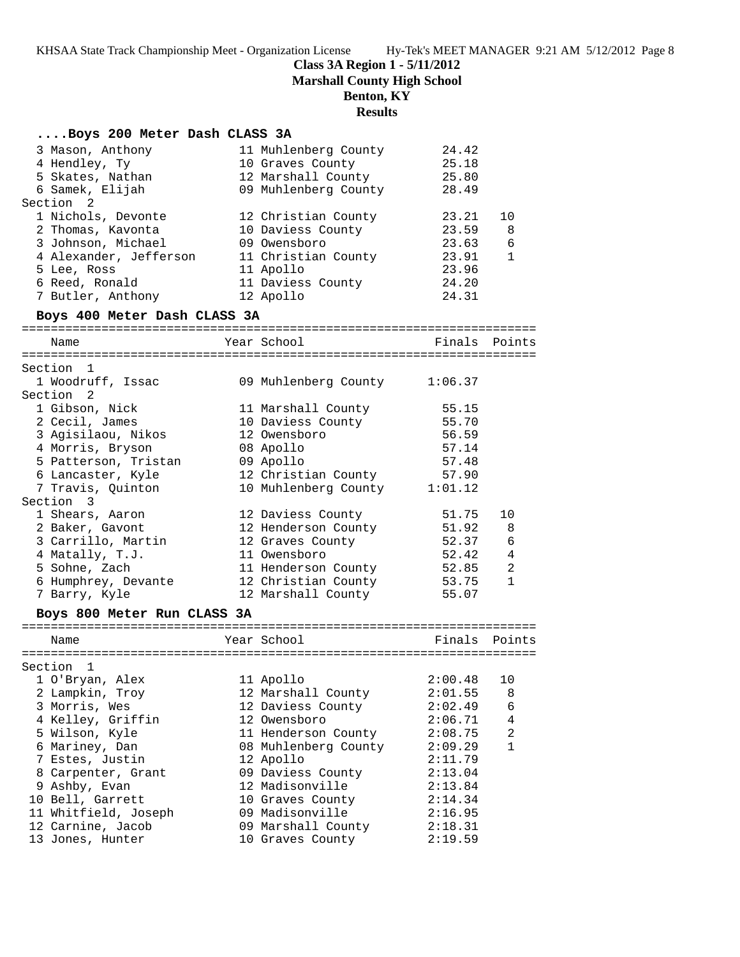# **Class 3A Region 1 - 5/11/2012**

**Marshall County High School**

## **Benton, KY**

# **Results**

|                                       | Results                                |                    |                |
|---------------------------------------|----------------------------------------|--------------------|----------------|
| Boys 200 Meter Dash CLASS 3A          |                                        |                    |                |
| 3 Mason, Anthony                      | 11 Muhlenberg County                   | 24.42              |                |
| 4 Hendley, Ty                         | 10 Graves County                       | 25.18              |                |
| 5 Skates, Nathan                      | 12 Marshall County                     | 25.80              |                |
| 6 Samek, Elijah                       | 09 Muhlenberg County                   | 28.49              |                |
| Section 2                             |                                        |                    |                |
| 1 Nichols, Devonte                    | 12 Christian County                    | 23.21              | 10             |
| 2 Thomas, Kavonta                     | 10 Daviess County                      | 23.59              | 8              |
| 3 Johnson, Michael                    | 09 Owensboro                           | 23.63              | 6              |
| 4 Alexander, Jefferson                | 11 Christian County                    | 23.91<br>23.96     | $\mathbf{1}$   |
| 5 Lee, Ross<br>6 Reed, Ronald         | 11 Apollo<br>11 Daviess County         | 24.20              |                |
| 7 Butler, Anthony                     | 12 Apollo                              | 24.31              |                |
| Boys 400 Meter Dash CLASS 3A          |                                        |                    |                |
|                                       |                                        |                    |                |
| Name                                  | Year School                            |                    | Finals Points  |
|                                       |                                        |                    |                |
| Section 1<br>1 Woodruff, Issac        | 09 Muhlenberg County 1:06.37           |                    |                |
| Section 2                             |                                        |                    |                |
| 1 Gibson, Nick                        | 11 Marshall County                     | 55.15              |                |
| 2 Cecil, James                        | 10 Daviess County                      | 55.70              |                |
| 3 Agisilaou, Nikos                    | 12 Owensboro                           | 56.59              |                |
| 4 Morris, Bryson                      | 08 Apollo                              | 57.14              |                |
| 5 Patterson, Tristan                  | 09 Apollo                              | 57.48              |                |
| 6 Lancaster, Kyle                     | 12 Christian County                    | 57.90              |                |
| 7 Travis, Quinton                     | 10 Muhlenberg County 1:01.12           |                    |                |
| Section 3                             |                                        |                    |                |
| 1 Shears, Aaron                       | 12 Daviess County                      | 51.75              | 10             |
| 2 Baker, Gavont                       | 12 Henderson County 51.92              |                    | 8              |
| 3 Carrillo, Martin                    | 12 Graves County                       | 52.37              | 6              |
| 4 Matally, T.J.                       | 11 Owensboro                           | 52.42              | $\overline{4}$ |
| 5 Sohne, Zach                         | 11 Henderson County                    | 52.85              | 2              |
| 6 Humphrey, Devante                   | 12 Christian County                    | 53.75              | $\mathbf{1}$   |
| 7 Barry, Kyle                         | 12 Marshall County                     | 55.07              |                |
| Boys 800 Meter Run CLASS 3A           |                                        |                    |                |
| Name                                  | Year School                            | Finals             | Points         |
|                                       |                                        |                    | --------       |
| Section 1                             |                                        |                    |                |
| 1 O'Bryan, Alex                       | 11 Apollo                              | 2:00.48            | 10             |
| 2 Lampkin, Troy                       | 12 Marshall County                     | 2:01.55            | 8              |
| 3 Morris, Wes                         | 12 Daviess County                      | 2:02.49            | 6              |
| 4 Kelley, Griffin                     | 12 Owensboro                           | 2:06.71            | $\overline{4}$ |
| 5 Wilson, Kyle                        | 11 Henderson County                    | 2:08.75            | $\overline{2}$ |
| 6 Mariney, Dan                        | 08 Muhlenberg County                   | 2:09.29            | $\mathbf{1}$   |
| 7 Estes, Justin                       | 12 Apollo                              | 2:11.79            |                |
| 8 Carpenter, Grant                    | 09 Daviess County                      | 2:13.04            |                |
| 9 Ashby, Evan                         | 12 Madisonville                        | 2:13.84            |                |
| 10 Bell, Garrett                      | 10 Graves County                       | 2:14.34            |                |
| 11 Whitfield, Joseph                  | 09 Madisonville                        | 2:16.95            |                |
| 12 Carnine, Jacob<br>13 Jones, Hunter | 09 Marshall County<br>10 Graves County | 2:18.31<br>2:19.59 |                |
|                                       |                                        |                    |                |
|                                       |                                        |                    |                |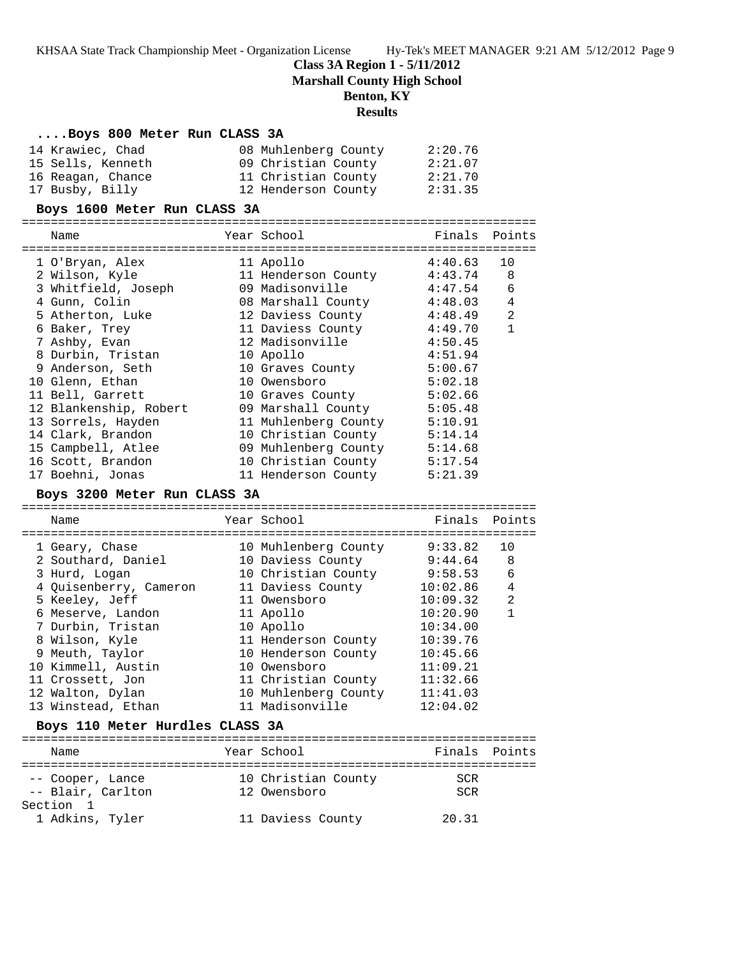## **Class 3A Region 1 - 5/11/2012**

**Marshall County High School**

## **Benton, KY**

## **Results**

#### **....Boys 800 Meter Run CLASS 3A**

| 14 Krawiec, Chad  | 08 Muhlenberg County | 2:20.76 |
|-------------------|----------------------|---------|
| 15 Sells, Kenneth | 09 Christian County  | 2:21.07 |
| 16 Reagan, Chance | 11 Christian County  | 2:21.70 |
| 17 Busby, Billy   | 12 Henderson County  | 2:31.35 |

#### **Boys 1600 Meter Run CLASS 3A**

======================================================================= Name The Year School The Points Points Points ======================================================================= 1 O'Bryan, Alex 11 Apollo 4:40.63 10 2 Wilson, Kyle 11 Henderson County 4:43.74 8 3 Whitfield, Joseph 09 Madisonville 4:47.54 6 4 Gunn, Colin 08 Marshall County 4:48.03 4 5 Atherton, Luke 12 Daviess County 4:48.49 2 6 Baker, Trey 11 Daviess County 4:49.70 1 7 Ashby, Evan 12 Madisonville 4:50.45 8 Durbin, Tristan 10 Apollo 4:51.94 9 Anderson, Seth 10 Graves County 5:00.67 10 Glenn, Ethan 10 Owensboro 5:02.18 11 Bell, Garrett 10 Graves County 5:02.66 12 Blankenship, Robert 09 Marshall County 5:05.48 13 Sorrels, Hayden 11 Muhlenberg County 5:10.91 14 Clark, Brandon 10 Christian County 5:14.14 15 Campbell, Atlee 09 Muhlenberg County 5:14.68 16 Scott, Brandon 10 Christian County 5:17.54 17 Boehni, Jonas 11 Henderson County 5:21.39

#### **Boys 3200 Meter Run CLASS 3A**

======================================================================= Name Tear School Tear School Finals Points ======================================================================= 1 Geary, Chase 10 Muhlenberg County 9:33.82 10 2 Southard, Daniel 10 Daviess County 9:44.64 8 3 Hurd, Logan 10 Christian County 9:58.53 6 4 Quisenberry, Cameron 11 Daviess County 10:02.86 4 5 Keeley, Jeff 11 Owensboro 10:09.32 2 6 Meserve, Landon 11 Apollo 10:20.90 1 7 Durbin, Tristan 10 Apollo 10:34.00 8 Wilson, Kyle 11 Henderson County 10:39.76 9 Meuth, Taylor 10 Henderson County 10:45.66 10 Kimmell, Austin 10 Owensboro 11:09.21 11 Crossett, Jon 11 Christian County 11:32.66 12 Walton, Dylan 10 Muhlenberg County 11:41.03 13 Winstead, Ethan 11 Madisonville 12:04.02

#### **Boys 110 Meter Hurdles CLASS 3A**

| Name              | Year School         | Finals Points |  |
|-------------------|---------------------|---------------|--|
|                   |                     |               |  |
| -- Cooper, Lance  | 10 Christian County | SCR           |  |
| -- Blair, Carlton | 12 Owensboro        | SCR           |  |
| Section 1         |                     |               |  |
| 1 Adkins, Tyler   | 11 Daviess County   | 20.31         |  |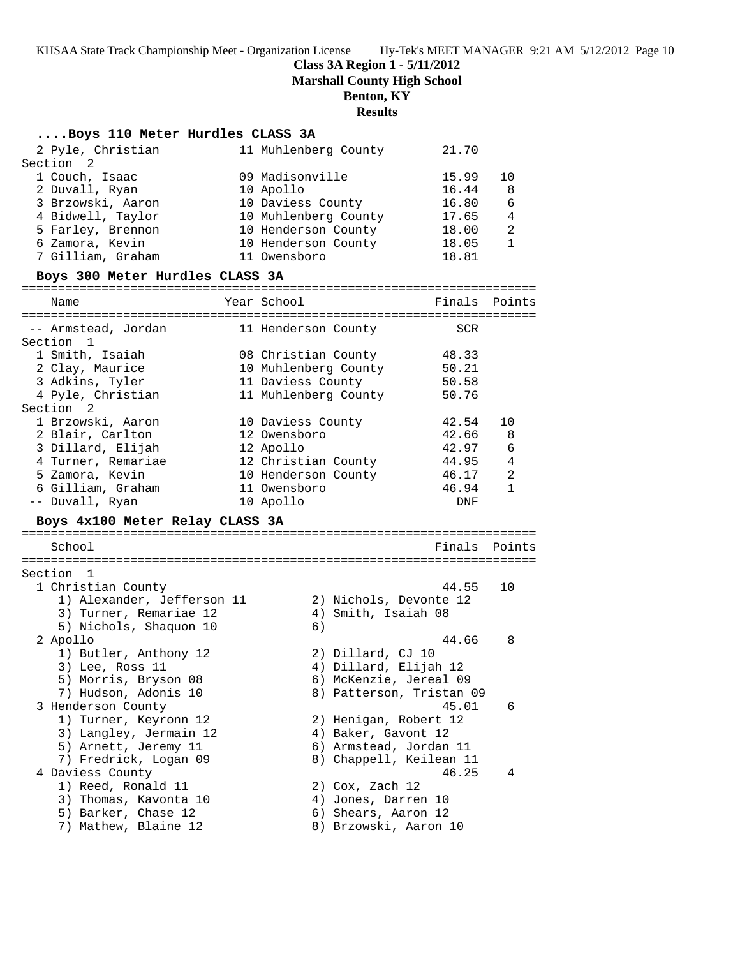**Class 3A Region 1 - 5/11/2012**

**Marshall County High School**

**Benton, KY**

# **Results**

## **....Boys 110 Meter Hurdles CLASS 3A**

| 2 Pyle, Christian                                                    | 11 Muhlenberg County   | 21.70                    |                |
|----------------------------------------------------------------------|------------------------|--------------------------|----------------|
| Section 2                                                            |                        |                          |                |
| 1 Couch, Isaac                                                       | 09 Madisonville        | 15.99                    | 10             |
| 2 Duvall, Ryan                                                       | 10 Apollo              | 16.44                    | 8              |
| 3 Brzowski, Aaron                                                    | 10 Daviess County      | 16.80                    | 6              |
| 4 Bidwell, Taylor                                                    | 10 Muhlenberg County   | 17.65                    | $\overline{4}$ |
| 5 Farley, Brennon                                                    | 10 Henderson County    | 18.00                    | 2              |
| 6 Zamora, Kevin                                                      | 10 Henderson County    | 18.05                    | $\mathbf 1$    |
| 7 Gilliam, Graham                                                    | 11 Owensboro           | 18.81                    |                |
| Boys 300 Meter Hurdles CLASS 3A                                      |                        |                          |                |
| Name                                                                 | Year School            | Finals Points            |                |
|                                                                      |                        |                          |                |
| -- Armstead, Jordan                 11 Henderson County<br>Section 1 |                        | SCR                      |                |
| 1 Smith, Isaiah                                                      | 08 Christian County    | 48.33                    |                |
| 2 Clay, Maurice                                                      | 10 Muhlenberg County   | 50.21                    |                |
| 3 Adkins, Tyler                                                      | 11 Daviess County      | 50.58                    |                |
| 4 Pyle, Christian                                                    | 11 Muhlenberg County   | 50.76                    |                |
| Section <sub>2</sub>                                                 |                        |                          |                |
| 1 Brzowski, Aaron                                                    | 10 Daviess County      | 42.54                    | 10             |
| 2 Blair, Carlton                                                     | 12 Owensboro           | 42.66                    | -8             |
| 3 Dillard, Elijah                                                    | 12 Apollo              | 42.97                    | 6              |
| 4 Turner, Remariae                                                   | 12 Christian County    | 44.95                    | $\overline{4}$ |
| 5 Zamora, Kevin                                                      | 10 Henderson County    | 46.17                    | -2             |
| 6 Gilliam, Graham                                                    | 11 Owensboro           | 46.94                    | $\mathbf{1}$   |
| -- Duvall, Ryan                                                      | 10 Apollo              | DNF                      |                |
| Boys 4x100 Meter Relay CLASS 3A                                      |                        |                          |                |
| School                                                               |                        | Finals                   | Points         |
|                                                                      |                        |                          |                |
| Section 1                                                            |                        |                          |                |
| 1 Christian County                                                   |                        | 44.55                    | 10             |
| 1) Alexander, Jefferson 11                                           | 2) Nichols, Devonte 12 |                          |                |
| 3) Turner, Remariae 12                                               | 4) Smith, Isaiah 08    |                          |                |
| 5) Nichols, Shaquon 10                                               | 6)                     |                          |                |
| 2 Apollo                                                             |                        | 44.66                    | 8              |
| 1) Butler, Anthony 12                                                | 2) Dillard, CJ 10      |                          |                |
| 3) Lee, Ross 11                                                      | 4) Dillard, Elijah 12  |                          |                |
| 5) Morris, Bryson 08                                                 | 6) McKenzie, Jereal 09 |                          |                |
| 7) Hudson, Adonis 10                                                 |                        | 8) Patterson, Tristan 09 |                |
| 3 Henderson County                                                   |                        | 45.01                    | 6              |
| 1) Turner, Keyronn 12                                                | 2) Henigan, Robert 12  |                          |                |
| 3) Langley, Jermain 12                                               | 4) Baker, Gavont 12    |                          |                |
| 5) Arnett, Jeremy 11                                                 | 6) Armstead, Jordan 11 |                          |                |
| 7) Fredrick, Logan 09                                                |                        | 8) Chappell, Keilean 11  |                |
| 4 Daviess County                                                     |                        | 46.25                    | 4              |
| 1) Reed, Ronald 11                                                   | 2) Cox, Zach 12        |                          |                |
| 3) Thomas, Kavonta 10                                                | 4) Jones, Darren 10    |                          |                |
| 5) Barker, Chase 12                                                  | 6) Shears, Aaron 12    |                          |                |
| 7) Mathew, Blaine 12                                                 | 8) Brzowski, Aaron 10  |                          |                |
|                                                                      |                        |                          |                |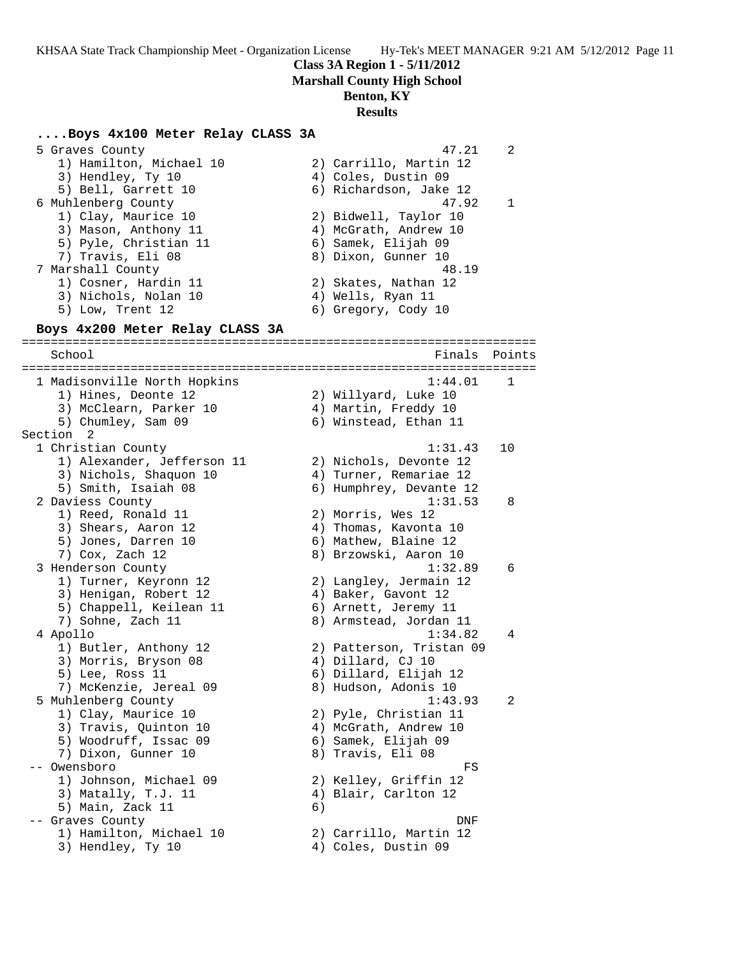**Class 3A Region 1 - 5/11/2012**

**Marshall County High School**

#### **Benton, KY**

#### **Results**

#### **....Boys 4x100 Meter Relay CLASS 3A**

 5 Graves County 47.21 2 1) Hamilton, Michael 10 2) Carrillo, Martin 12 3) Hendley, Ty 10 (4) Coles, Dustin 09 5) Bell, Garrett 10 6) Richardson, Jake 12 6 Muhlenberg County 47.92 1 1) Clay, Maurice 10 2) Bidwell, Taylor 10 3) Mason, Anthony 11 4) McGrath, Andrew 10 5) Pyle, Christian 11 (6) Samek, Elijah 09 7) Travis, Eli 08 8) Dixon, Gunner 10 7 Marshall County 48.19 1) Cosner, Hardin 11 2) Skates, Nathan 12 3) Nichols, Nolan 10 4) Wells, Ryan 11 5) Low, Trent 12 6) Gregory, Cody 10 **Boys 4x200 Meter Relay CLASS 3A** ======================================================================= School **Finals Points** ======================================================================= 1 Madisonville North Hopkins 1:44.01 1 1) Hines, Deonte 12 2) Willyard, Luke 10 3) McClearn, Parker 10 4) Martin, Freddy 10 5) Chumley, Sam 09 6) Winstead, Ethan 11 Section 2 1 Christian County 1:31.43 10 1) Alexander, Jefferson 11 2) Nichols, Devonte 12 3) Nichols, Shaquon 10 4) Turner, Remariae 12 5) Smith, Isaiah 08 6) Humphrey, Devante 12 2 Daviess County 1:31.53 8 1) Reed, Ronald 11 2) Morris, Wes 12 3) Shears, Aaron 12 4) Thomas, Kavonta 10 5) Jones, Darren 10 (6) Mathew, Blaine 12 7) Cox, Zach 12 8) Brzowski, Aaron 10 3 Henderson County 1:32.89 6 1) Turner, Keyronn 12 2) Langley, Jermain 12 3) Henigan, Robert 12 (4) Baker, Gavont 12 5) Chappell, Keilean 11 6) Arnett, Jeremy 11 7) Sohne, Zach 11 8) Armstead, Jordan 11 4 Apollo 1:34.82 4 1) Butler, Anthony 12 2) Patterson, Tristan 09 3) Morris, Bryson 08 (4) Dillard, CJ 10 5) Lee, Ross 11 6) Dillard, Elijah 12 7) McKenzie, Jereal 09 8) Hudson, Adonis 10 5 Muhlenberg County 1:43.93 2 1) Clay, Maurice 10 2) Pyle, Christian 11 3) Travis, Quinton 10 4) McGrath, Andrew 10 5) Woodruff, Issac 09 6) Samek, Elijah 09 7) Dixon, Gunner 10 8) Travis, Eli 08 -- Owensboro FS 1) Johnson, Michael 09 2) Kelley, Griffin 12 3) Matally, T.J. 11 (4) Blair, Carlton 12 5) Main, Zack 11 6) -- Graves County DNF 1) Hamilton, Michael 10 2) Carrillo, Martin 12 3) Hendley, Ty 10  $\hskip 10mm 4$  ) Coles, Dustin 09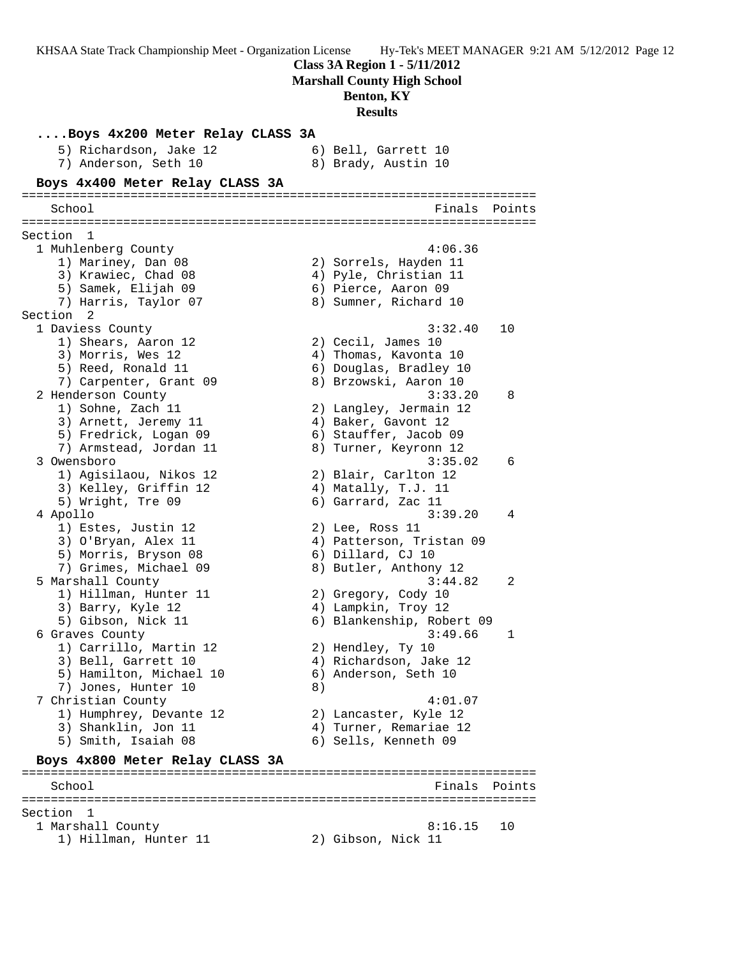**Class 3A Region 1 - 5/11/2012**

**Marshall County High School**

## **Benton, KY**

**Results**

**....Boys 4x200 Meter Relay CLASS 3A** 5) Richardson, Jake 12 6) Bell, Garrett 10 7) Anderson, Seth 10 8) Brady, Austin 10 **Boys 4x400 Meter Relay CLASS 3A** ======================================================================= School **Finals** Points ======================================================================= Section 1<br>1 Muhlenberg County 1 Muhlenberg County 4:06.36 1) Mariney, Dan 08 2) Sorrels, Hayden 11 3) Krawiec, Chad 08 4) Pyle, Christian 11 5) Samek, Elijah 09 6) Pierce, Aaron 09 7) Harris, Taylor 07 8) Sumner, Richard 10 Section 2 1 Daviess County 3:32.40 10 1) Shears, Aaron 12 2) Cecil, James 10 3) Morris, Wes 12 4) Thomas, Kavonta 10 5) Reed, Ronald 11 6) Douglas, Bradley 10 7) Carpenter, Grant 09 8) Brzowski, Aaron 10 2 Henderson County 3:33.20 8 1) Sohne, Zach 11 2) Langley, Jermain 12 3) Arnett, Jeremy 11 (4) Baker, Gavont 12 5) Fredrick, Logan 09 6) Stauffer, Jacob 09 7) Armstead, Jordan 11 8) Turner, Keyronn 12 3 Owensboro 3:35.02 6 1) Agisilaou, Nikos 12 2) Blair, Carlton 12 3) Kelley, Griffin 12 4) Matally, T.J. 11 5) Wright, Tre 09 6) Garrard, Zac 11 4 Apollo 3:39.20 4 1) Estes, Justin 12 (2) Lee, Ross 11 3) O'Bryan, Alex 11 4) Patterson, Tristan 09 5) Morris, Bryson 08 6) Dillard, CJ 10 7) Grimes, Michael 09 8) Butler, Anthony 12 5 Marshall County 3:44.82 2 1) Hillman, Hunter 11 2) Gregory, Cody 10 3) Barry, Kyle 12 4) Lampkin, Troy 12 5) Gibson, Nick 11 6) Blankenship, Robert 09 6 Graves County 3:49.66 1 1) Carrillo, Martin 12 2) Hendley, Ty 10 3) Bell, Garrett 10 4) Richardson, Jake 12 5) Hamilton, Michael 10  $\qquad \qquad$  6) Anderson, Seth 10 7) Jones, Hunter 10 (8) 7 Christian County 4:01.07 1) Humphrey, Devante 12 2) Lancaster, Kyle 12 3) Shanklin, Jon 11 4) Turner, Remariae 12 5) Smith, Isaiah 08 6) Sells, Kenneth 09 **Boys 4x800 Meter Relay CLASS 3A** ======================================================================= School Finals Points Points and the School Finals Points Points and the School Finals Points and the School Finals Points and the School Finals Points and the School Finals Points and the School Finals Points and the Schoo ======================================================================= Section 1 1 Marshall County 8:16.15 10 1) Hillman, Hunter 11 2) Gibson, Nick 11